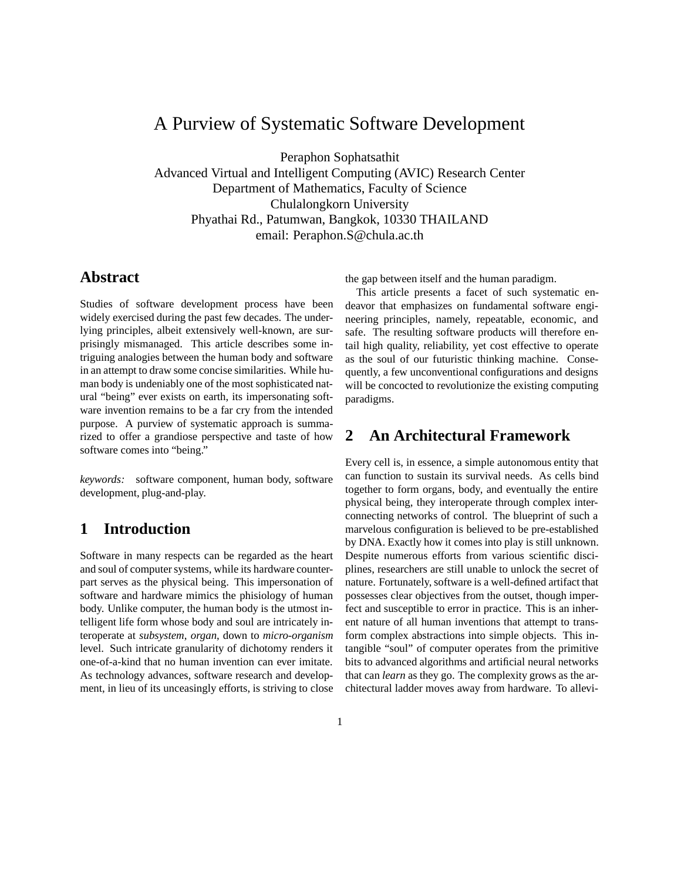## A Purview of Systematic Software Development

Peraphon Sophatsathit

Advanced Virtual and Intelligent Computing (AVIC) Research Center Department of Mathematics, Faculty of Science Chulalongkorn University Phyathai Rd., Patumwan, Bangkok, 10330 THAILAND email: Peraphon.S@chula.ac.th

### **Abstract**

Studies of software development process have been widely exercised during the past few decades. The underlying principles, albeit extensively well-known, are surprisingly mismanaged. This article describes some intriguing analogies between the human body and software in an attempt to draw some concise similarities. While human body is undeniably one of the most sophisticated natural "being" ever exists on earth, its impersonating software invention remains to be a far cry from the intended purpose. A purview of systematic approach is summarized to offer a grandiose perspective and taste of how software comes into "being."

*keywords:* software component, human body, software development, plug-and-play.

## **1 Introduction**

Software in many respects can be regarded as the heart and soul of computer systems, while its hardware counterpart serves as the physical being. This impersonation of software and hardware mimics the phisiology of human body. Unlike computer, the human body is the utmost intelligent life form whose body and soul are intricately interoperate at *subsystem*, *organ*, down to *micro-organism* level. Such intricate granularity of dichotomy renders it one-of-a-kind that no human invention can ever imitate. As technology advances, software research and development, in lieu of its unceasingly efforts, is striving to close the gap between itself and the human paradigm.

This article presents a facet of such systematic endeavor that emphasizes on fundamental software engineering principles, namely, repeatable, economic, and safe. The resulting software products will therefore entail high quality, reliability, yet cost effective to operate as the soul of our futuristic thinking machine. Consequently, a few unconventional configurations and designs will be concocted to revolutionize the existing computing paradigms.

## **2 An Architectural Framework**

Every cell is, in essence, a simple autonomous entity that can function to sustain its survival needs. As cells bind together to form organs, body, and eventually the entire physical being, they interoperate through complex interconnecting networks of control. The blueprint of such a marvelous configuration is believed to be pre-established by DNA. Exactly how it comes into play is still unknown. Despite numerous efforts from various scientific disciplines, researchers are still unable to unlock the secret of nature. Fortunately, software is a well-defined artifact that possesses clear objectives from the outset, though imperfect and susceptible to error in practice. This is an inherent nature of all human inventions that attempt to transform complex abstractions into simple objects. This intangible "soul" of computer operates from the primitive bits to advanced algorithms and artificial neural networks that can *learn* as they go. The complexity grows as the architectural ladder moves away from hardware. To allevi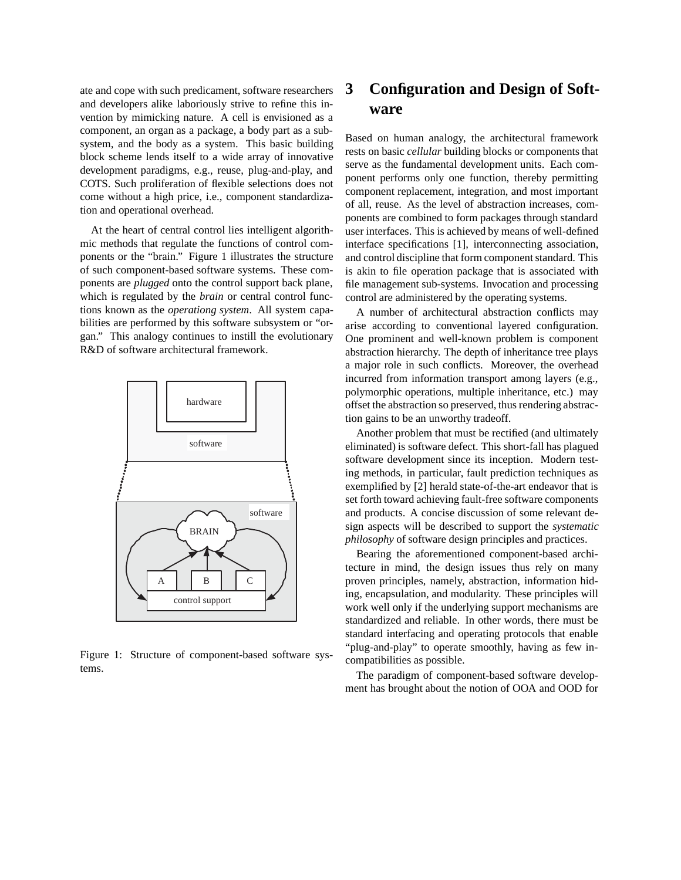ate and cope with such predicament, software researchers and developers alike laboriously strive to refine this invention by mimicking nature. A cell is envisioned as a component, an organ as a package, a body part as a subsystem, and the body as a system. This basic building block scheme lends itself to a wide array of innovative development paradigms, e.g., reuse, plug-and-play, and COTS. Such proliferation of flexible selections does not come without a high price, i.e., component standardization and operational overhead.

At the heart of central control lies intelligent algorithmic methods that regulate the functions of control components or the "brain." Figure 1 illustrates the structure of such component-based software systems. These components are *plugged* onto the control support back plane, which is regulated by the *brain* or central control functions known as the *operationg system*. All system capabilities are performed by this software subsystem or "organ." This analogy continues to instill the evolutionary R&D of software architectural framework.



Figure 1: Structure of component-based software systems.

# **3 Configuration and Design of Software**

Based on human analogy, the architectural framework rests on basic *cellular* building blocks or components that serve as the fundamental development units. Each component performs only one function, thereby permitting component replacement, integration, and most important of all, reuse. As the level of abstraction increases, components are combined to form packages through standard user interfaces. This is achieved by means of well-defined interface specifications [1], interconnecting association, and control discipline that form component standard. This is akin to file operation package that is associated with file management sub-systems. Invocation and processing control are administered by the operating systems.

A number of architectural abstraction conflicts may arise according to conventional layered configuration. One prominent and well-known problem is component abstraction hierarchy. The depth of inheritance tree plays a major role in such conflicts. Moreover, the overhead incurred from information transport among layers (e.g., polymorphic operations, multiple inheritance, etc.) may offset the abstraction so preserved, thus rendering abstraction gains to be an unworthy tradeoff.

Another problem that must be rectified (and ultimately eliminated) is software defect. This short-fall has plagued software development since its inception. Modern testing methods, in particular, fault prediction techniques as exemplified by [2] herald state-of-the-art endeavor that is set forth toward achieving fault-free software components and products. A concise discussion of some relevant design aspects will be described to support the *systematic philosophy* of software design principles and practices.

Bearing the aforementioned component-based architecture in mind, the design issues thus rely on many proven principles, namely, abstraction, information hiding, encapsulation, and modularity. These principles will work well only if the underlying support mechanisms are standardized and reliable. In other words, there must be standard interfacing and operating protocols that enable "plug-and-play" to operate smoothly, having as few incompatibilities as possible.

The paradigm of component-based software development has brought about the notion of OOA and OOD for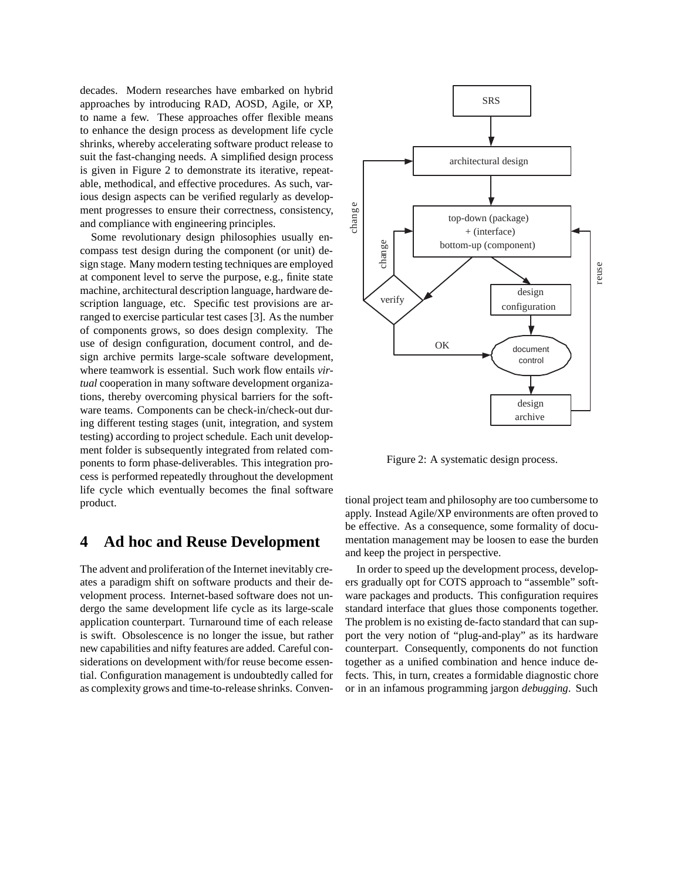decades. Modern researches have embarked on hybrid approaches by introducing RAD, AOSD, Agile, or XP, to name a few. These approaches offer flexible means to enhance the design process as development life cycle shrinks, whereby accelerating software product release to suit the fast-changing needs. A simplified design process is given in Figure 2 to demonstrate its iterative, repeatable, methodical, and effective procedures. As such, various design aspects can be verified regularly as development progresses to ensure their correctness, consistency, and compliance with engineering principles.

Some revolutionary design philosophies usually encompass test design during the component (or unit) design stage. Many modern testing techniques are employed at component level to serve the purpose, e.g., finite state machine, architectural description language, hardware description language, etc. Specific test provisions are arranged to exercise particular test cases [3]. As the number of components grows, so does design complexity. The use of design configuration, document control, and design archive permits large-scale software development, where teamwork is essential. Such work flow entails *virtual* cooperation in many software development organizations, thereby overcoming physical barriers for the software teams. Components can be check-in/check-out during different testing stages (unit, integration, and system testing) according to project schedule. Each unit development folder is subsequently integrated from related components to form phase-deliverables. This integration process is performed repeatedly throughout the development life cycle which eventually becomes the final software product.

#### **4 Ad hoc and Reuse Development**

The advent and proliferation of the Internet inevitably creates a paradigm shift on software products and their development process. Internet-based software does not undergo the same development life cycle as its large-scale application counterpart. Turnaround time of each release is swift. Obsolescence is no longer the issue, but rather new capabilities and nifty features are added. Careful considerations on development with/for reuse become essential. Configuration management is undoubtedly called for as complexity grows and time-to-release shrinks. Conven-



Figure 2: A systematic design process.

tional project team and philosophy are too cumbersome to apply. Instead Agile/XP environments are often proved to be effective. As a consequence, some formality of documentation management may be loosen to ease the burden and keep the project in perspective.

In order to speed up the development process, developers gradually opt for COTS approach to "assemble" software packages and products. This configuration requires standard interface that glues those components together. The problem is no existing de-facto standard that can support the very notion of "plug-and-play" as its hardware counterpart. Consequently, components do not function together as a unified combination and hence induce defects. This, in turn, creates a formidable diagnostic chore or in an infamous programming jargon *debugging*. Such